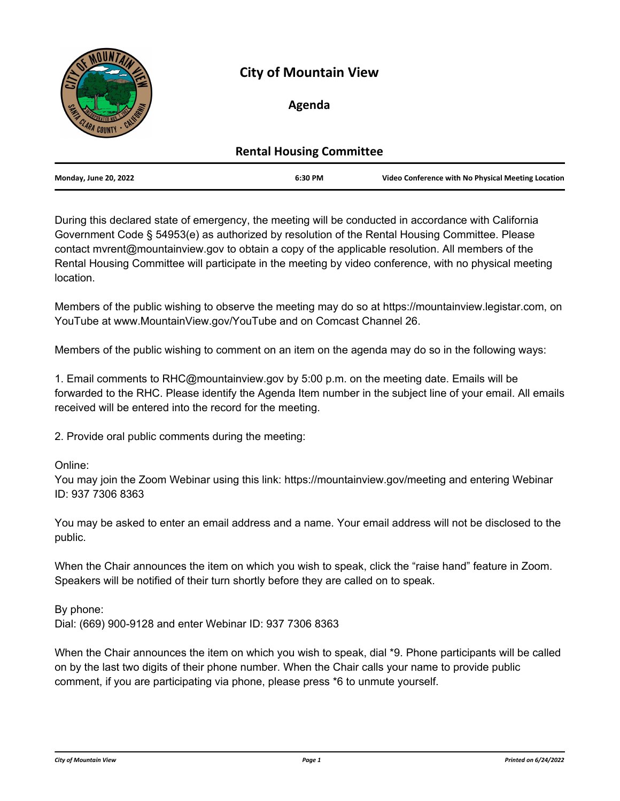

# **City of Mountain View**

# **Agenda**

| <b>Rental Housing Committee</b> |         |                                                    |
|---------------------------------|---------|----------------------------------------------------|
| <b>Monday, June 20, 2022</b>    | 6:30 PM | Video Conference with No Physical Meeting Location |

During this declared state of emergency, the meeting will be conducted in accordance with California Government Code § 54953(e) as authorized by resolution of the Rental Housing Committee. Please contact mvrent@mountainview.gov to obtain a copy of the applicable resolution. All members of the Rental Housing Committee will participate in the meeting by video conference, with no physical meeting location.

Members of the public wishing to observe the meeting may do so at https://mountainview.legistar.com, on YouTube at www.MountainView.gov/YouTube and on Comcast Channel 26.

Members of the public wishing to comment on an item on the agenda may do so in the following ways:

1. Email comments to RHC@mountainview.gov by 5:00 p.m. on the meeting date. Emails will be forwarded to the RHC. Please identify the Agenda Item number in the subject line of your email. All emails received will be entered into the record for the meeting.

2. Provide oral public comments during the meeting:

Online:

You may join the Zoom Webinar using this link: https://mountainview.gov/meeting and entering Webinar ID: 937 7306 8363

You may be asked to enter an email address and a name. Your email address will not be disclosed to the public.

When the Chair announces the item on which you wish to speak, click the "raise hand" feature in Zoom. Speakers will be notified of their turn shortly before they are called on to speak.

By phone: Dial: (669) 900-9128 and enter Webinar ID: 937 7306 8363

When the Chair announces the item on which you wish to speak, dial \*9. Phone participants will be called on by the last two digits of their phone number. When the Chair calls your name to provide public comment, if you are participating via phone, please press \*6 to unmute yourself.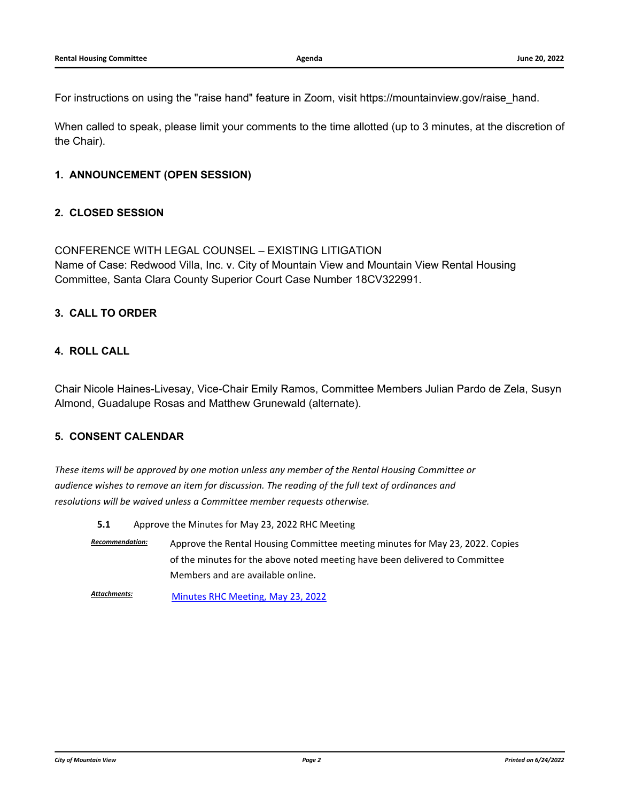For instructions on using the "raise hand" feature in Zoom, visit https://mountainview.gov/raise\_hand.

When called to speak, please limit your comments to the time allotted (up to 3 minutes, at the discretion of the Chair).

# **1. ANNOUNCEMENT (OPEN SESSION)**

# **2. CLOSED SESSION**

CONFERENCE WITH LEGAL COUNSEL – EXISTING LITIGATION Name of Case: Redwood Villa, Inc. v. City of Mountain View and Mountain View Rental Housing Committee, Santa Clara County Superior Court Case Number 18CV322991.

## **3. CALL TO ORDER**

# **4. ROLL CALL**

Chair Nicole Haines-Livesay, Vice-Chair Emily Ramos, Committee Members Julian Pardo de Zela, Susyn Almond, Guadalupe Rosas and Matthew Grunewald (alternate).

# **5. CONSENT CALENDAR**

*These items will be approved by one motion unless any member of the Rental Housing Committee or audience wishes to remove an item for discussion. The reading of the full text of ordinances and resolutions will be waived unless a Committee member requests otherwise.*

**5.1** [Approve the Minutes for May 23, 2022 RHC Meeting](http://mountainview.legistar.com/gateway.aspx?m=l&id=/matter.aspx?key=6609)

*Recommendation:* Approve the Rental Housing Committee meeting minutes for May 23, 2022. Copies of the minutes for the above noted meeting have been delivered to Committee Members and are available online.

Attachments: [Minutes RHC Meeting, May 23, 2022](http://mountainview.legistar.com/gateway.aspx?M=F&ID=a3219d6c-0c37-471b-8674-3413bc03b17f.pdf)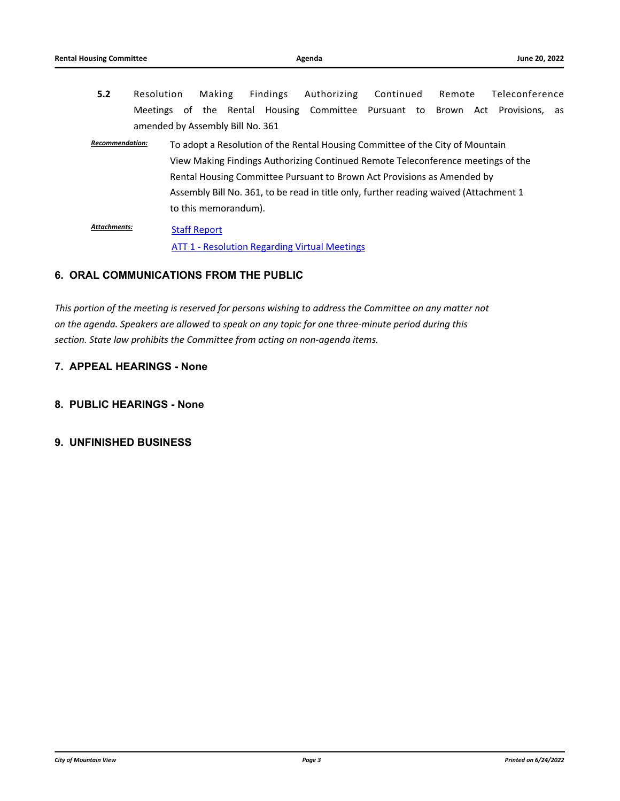- **5.2** [Resolution Making Findings Authorizing Continued Remote Teleconference](http://mountainview.legistar.com/gateway.aspx?m=l&id=/matter.aspx?key=6610) Meetings of the Rental Housing Committee Pursuant to Brown Act Provisions, as amended by Assembly Bill No. 361
- *Recommendation:* To adopt a Resolution of the Rental Housing Committee of the City of Mountain View Making Findings Authorizing Continued Remote Teleconference meetings of the Rental Housing Committee Pursuant to Brown Act Provisions as Amended by Assembly Bill No. 361, to be read in title only, further reading waived (Attachment 1 to this memorandum).

[Staff Report](http://mountainview.legistar.com/gateway.aspx?M=F&ID=ce25032d-e077-4295-aecf-f0da477a2f10.pdf) **[ATT 1 - Resolution Regarding Virtual Meetings](http://mountainview.legistar.com/gateway.aspx?M=F&ID=6d5be15a-c237-45ef-aad4-eb2b905effb9.pdf)** *Attachments:*

# **6. ORAL COMMUNICATIONS FROM THE PUBLIC**

*This portion of the meeting is reserved for persons wishing to address the Committee on any matter not on the agenda. Speakers are allowed to speak on any topic for one three-minute period during this section. State law prohibits the Committee from acting on non-agenda items.*

# **7. APPEAL HEARINGS - None**

- **8. PUBLIC HEARINGS None**
- **9. UNFINISHED BUSINESS**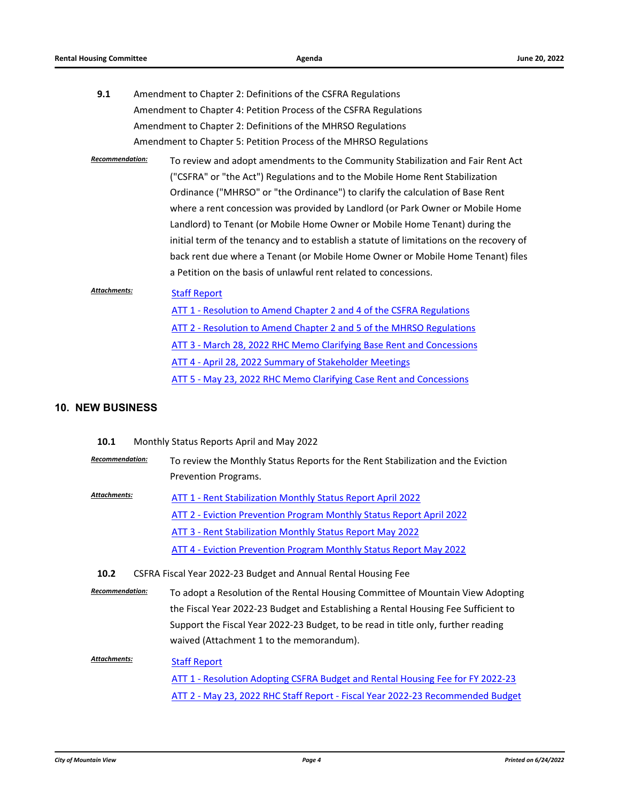| 9.1 | Amendment to Chapter 2: Definitions of the CSFRA Regulations      |  |
|-----|-------------------------------------------------------------------|--|
|     | Amendment to Chapter 4: Petition Process of the CSFRA Regulations |  |
|     | Amendment to Chapter 2: Definitions of the MHRSO Regulations      |  |
|     | Amendment to Chapter 5: Petition Process of the MHRSO Regulations |  |

*Recommendation:* To review and adopt amendments to the Community Stabilization and Fair Rent Act ("CSFRA" or "the Act") Regulations and to the Mobile Home Rent Stabilization Ordinance ("MHRSO" or "the Ordinance") to clarify the calculation of Base Rent where a rent concession was provided by Landlord (or Park Owner or Mobile Home Landlord) to Tenant (or Mobile Home Owner or Mobile Home Tenant) during the initial term of the tenancy and to establish a statute of limitations on the recovery of back rent due where a Tenant (or Mobile Home Owner or Mobile Home Tenant) files a Petition on the basis of unlawful rent related to concessions.

#### [Staff Report](http://mountainview.legistar.com/gateway.aspx?M=F&ID=73d65965-e845-4036-a2d8-baf105ea1e7f.pdf) *Attachments:*

# [ATT 1 - Resolution to Amend Chapter 2 and 4 of the CSFRA Regulations](http://mountainview.legistar.com/gateway.aspx?M=F&ID=72510ddd-2efe-4acf-b41f-1614a722e591.pdf) [ATT 2 - Resolution to Amend Chapter 2 and 5 of the MHRSO Regulations](http://mountainview.legistar.com/gateway.aspx?M=F&ID=8f7d173b-cd8f-44c0-a528-1d439e2dfc05.pdf) [ATT 3 - March 28, 2022 RHC Memo Clarifying Base Rent and Concessions](http://mountainview.legistar.com/gateway.aspx?M=F&ID=6a48d59b-c2af-4c8b-bca1-4f0c57243a0e.pdf) [ATT 4 - April 28, 2022 Summary of Stakeholder Meetings](http://mountainview.legistar.com/gateway.aspx?M=F&ID=ab973449-910d-41e3-9229-b1903d9d6447.pdf) [ATT 5 - May 23, 2022 RHC Memo Clarifying Case Rent and Concessions](http://mountainview.legistar.com/gateway.aspx?M=F&ID=5d3ca89d-6297-48d8-a18c-56dd91f7c4fc.pdf)

### **10. NEW BUSINESS**

- **10.1** [Monthly Status Reports April and May 2022](http://mountainview.legistar.com/gateway.aspx?m=l&id=/matter.aspx?key=6612)
- *Recommendation:* To review the Monthly Status Reports for the Rent Stabilization and the Eviction Prevention Programs.
- [ATT 1 Rent Stabilization Monthly Status Report April 2022](http://mountainview.legistar.com/gateway.aspx?M=F&ID=2dc9ce66-7911-4178-a32b-2be438b8c538.pdf) [ATT 2 - Eviction Prevention Program Monthly Status Report April 2022](http://mountainview.legistar.com/gateway.aspx?M=F&ID=e79e4aa0-0555-473c-93d3-a3ca78f16b9f.pdf) [ATT 3 - Rent Stabilization Monthly Status Report May 2022](http://mountainview.legistar.com/gateway.aspx?M=F&ID=c739c079-1d73-4c8f-8ef5-840d6a456f22.pdf) [ATT 4 - Eviction Prevention Program Monthly Status Report May 2022](http://mountainview.legistar.com/gateway.aspx?M=F&ID=3d1f89aa-2f00-4327-8d5d-07d3183c8e4e.pdf) *Attachments:*
- **10.2** [CSFRA Fiscal Year 2022-23 Budget and Annual Rental Housing Fee](http://mountainview.legistar.com/gateway.aspx?m=l&id=/matter.aspx?key=6613)
- *Recommendation:* To adopt a Resolution of the Rental Housing Committee of Mountain View Adopting the Fiscal Year 2022-23 Budget and Establishing a Rental Housing Fee Sufficient to Support the Fiscal Year 2022-23 Budget, to be read in title only, further reading waived (Attachment 1 to the memorandum).
- [Staff Report](http://mountainview.legistar.com/gateway.aspx?M=F&ID=6bce7419-b4e9-4f56-9b3c-e0a9d77fecdc.pdf) [ATT 1 - Resolution Adopting CSFRA Budget and Rental Housing Fee for FY 2022-23](http://mountainview.legistar.com/gateway.aspx?M=F&ID=d821e540-3f3a-4eaf-aa8e-f8f53abc2441.pdf) [ATT 2 - May 23, 2022 RHC Staff Report - Fiscal Year 2022-23 Recommended Budget](http://mountainview.legistar.com/gateway.aspx?M=F&ID=de1172f1-6fe8-4969-bd09-eeaae135b511.pdf) *Attachments:*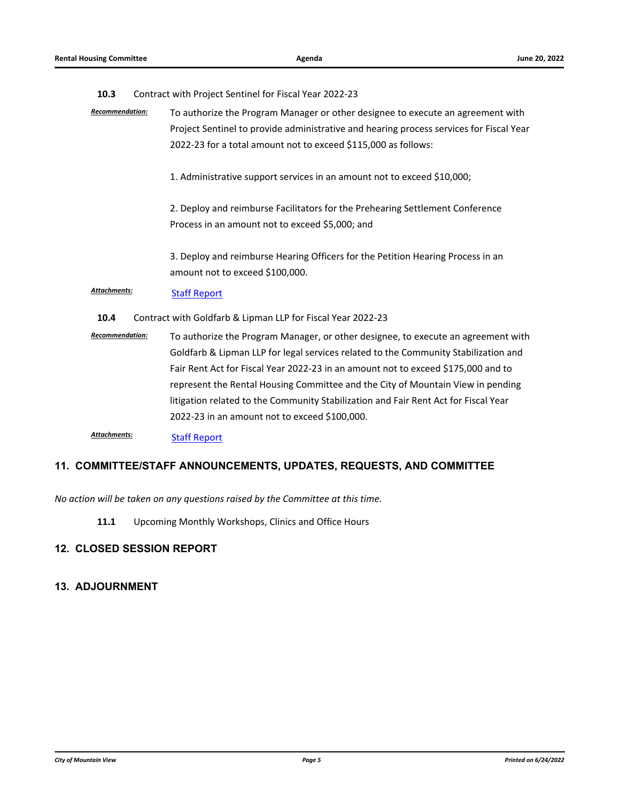### **10.3** [Contract with Project Sentinel for Fiscal Year 2022-23](http://mountainview.legistar.com/gateway.aspx?m=l&id=/matter.aspx?key=6615)

- *Recommendation:* To authorize the Program Manager or other designee to execute an agreement with Project Sentinel to provide administrative and hearing process services for Fiscal Year 2022-23 for a total amount not to exceed \$115,000 as follows:
	- 1. Administrative support services in an amount not to exceed \$10,000;
	- 2. Deploy and reimburse Facilitators for the Prehearing Settlement Conference Process in an amount not to exceed \$5,000; and
	- 3. Deploy and reimburse Hearing Officers for the Petition Hearing Process in an amount not to exceed \$100,000.

# [Staff Report](http://mountainview.legistar.com/gateway.aspx?M=F&ID=1df57190-adf2-48c0-b634-b7239717b3f4.pdf) *Attachments:*

- **10.4** [Contract with Goldfarb & Lipman LLP for Fiscal Year 2022-23](http://mountainview.legistar.com/gateway.aspx?m=l&id=/matter.aspx?key=6614)
- *Recommendation:* To authorize the Program Manager, or other designee, to execute an agreement with Goldfarb & Lipman LLP for legal services related to the Community Stabilization and Fair Rent Act for Fiscal Year 2022-23 in an amount not to exceed \$175,000 and to represent the Rental Housing Committee and the City of Mountain View in pending litigation related to the Community Stabilization and Fair Rent Act for Fiscal Year 2022-23 in an amount not to exceed \$100,000.

[Staff Report](http://mountainview.legistar.com/gateway.aspx?M=F&ID=8d27e758-42f8-48e8-b91c-ce53aa345e4d.pdf) *Attachments:*

### **11. COMMITTEE/STAFF ANNOUNCEMENTS, UPDATES, REQUESTS, AND COMMITTEE**

### *No action will be taken on any questions raised by the Committee at this time.*

**11.1** [Upcoming Monthly Workshops, Clinics and Office Hours](http://mountainview.legistar.com/gateway.aspx?m=l&id=/matter.aspx?key=6616)

# **12. CLOSED SESSION REPORT**

# **13. ADJOURNMENT**